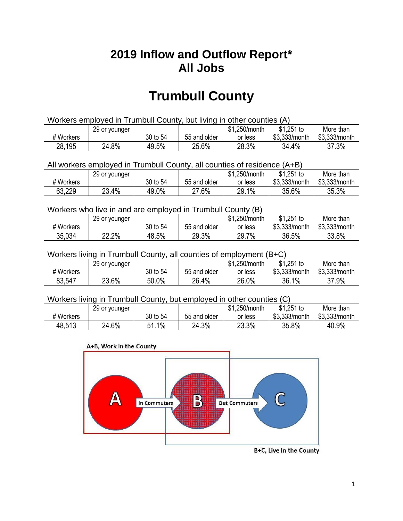## **2019 Inflow and Outflow Report\* All Jobs**

# **Trumbull County**

| Workers employed in Trumbull County, but living in other counties (A) |                                                           |          |              |         |               |               |  |  |  |
|-----------------------------------------------------------------------|-----------------------------------------------------------|----------|--------------|---------|---------------|---------------|--|--|--|
|                                                                       | \$1.251 to<br>\$1.250/month<br>More than<br>29 or younger |          |              |         |               |               |  |  |  |
| # Workers                                                             |                                                           | 30 to 54 | 55 and older | or less | \$3.333/month | \$3,333/month |  |  |  |
| 28,195                                                                | 24.8%                                                     | 49.5%    | 25.6%        | 28.3%   | 34.4%         | 37.3%         |  |  |  |

All workers employed in Trumbull County, all counties of residence (A+B)

|           | 29 or younger |          |              | \$1,250/month | \$1,251 to    | More than     |
|-----------|---------------|----------|--------------|---------------|---------------|---------------|
| # Workers |               | 30 to 54 | 55 and older | or less       | \$3,333/month | \$3,333/month |
| 63,229    | 23.4%         | 49.0%    | 27.6%        | 29.1%         | 35.6%         | 35.3%         |

#### Workers who live in and are employed in Trumbull County (B)

|           | 29 or younger |          |              | \$1,250/month | $$1,251$ to   | More than     |
|-----------|---------------|----------|--------------|---------------|---------------|---------------|
| # Workers |               | 30 to 54 | 55 and older | or less       | \$3,333/month | \$3,333/month |
| 35,034    | 22.2%         | 48.5%    | 29.3%        | 29.7%         | 36.5%         | 33.8%         |

#### Workers living in Trumbull County, all counties of employment (B+C)

|           | 29 or younger |          |              | \$1,250/month | \$1,251 to    | More than     |
|-----------|---------------|----------|--------------|---------------|---------------|---------------|
| # Workers |               | 30 to 54 | 55 and older | or less       | \$3,333/month | \$3,333/month |
| 83.547    | 23.6%         | 50.0%    | 26.4%        | 26.0%         | 36.1%         | 37.9%         |

#### Workers living in Trumbull County, but employed in other counties (C)

|           | 29 or younger |              |              | \$1,250/month | $$1,251$ to   | More than     |
|-----------|---------------|--------------|--------------|---------------|---------------|---------------|
| # Workers |               | 30 to 54     | 55 and older | or less       | \$3,333/month | \$3,333/month |
| 48,513    | 24.6%         | $1\%$<br>E 1 | 24.3%        | 23.3%         | 35.8%         | 40.9%         |





B+C, Live In the County